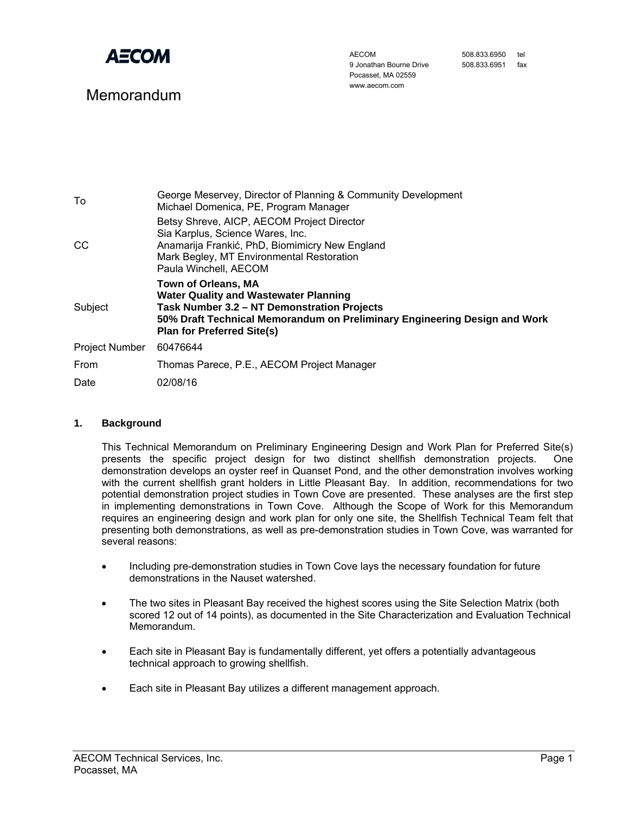

# Memorandum

AECOM 9 Jonathan Bourne Drive Pocasset, MA 02559 www.aecom.com

| 508.833.6950 | tel |
|--------------|-----|
| 508.833.6951 | fax |

| To                    | George Meservey, Director of Planning & Community Development<br>Michael Domenica, PE, Program Manager                                                                                                                                      |
|-----------------------|---------------------------------------------------------------------------------------------------------------------------------------------------------------------------------------------------------------------------------------------|
| CC                    | Betsy Shreve, AICP, AECOM Project Director<br>Sia Karplus, Science Wares, Inc.<br>Anamarija Frankić, PhD, Biomimicry New England<br>Mark Begley, MT Environmental Restoration<br>Paula Winchell, AECOM                                      |
| Subject               | <b>Town of Orleans, MA</b><br><b>Water Quality and Wastewater Planning</b><br>Task Number 3.2 – NT Demonstration Projects<br>50% Draft Technical Memorandum on Preliminary Engineering Design and Work<br><b>Plan for Preferred Site(s)</b> |
| <b>Project Number</b> | 60476644                                                                                                                                                                                                                                    |
| From                  | Thomas Parece, P.E., AECOM Project Manager                                                                                                                                                                                                  |
| Date                  | 02/08/16                                                                                                                                                                                                                                    |
|                       |                                                                                                                                                                                                                                             |

# **1. Background**

This Technical Memorandum on Preliminary Engineering Design and Work Plan for Preferred Site(s) presents the specific project design for two distinct shellfish demonstration projects. One demonstration develops an oyster reef in Quanset Pond, and the other demonstration involves working with the current shellfish grant holders in Little Pleasant Bay. In addition, recommendations for two potential demonstration project studies in Town Cove are presented. These analyses are the first step in implementing demonstrations in Town Cove. Although the Scope of Work for this Memorandum requires an engineering design and work plan for only one site, the Shellfish Technical Team felt that presenting both demonstrations, as well as pre-demonstration studies in Town Cove, was warranted for several reasons:

- Including pre-demonstration studies in Town Cove lays the necessary foundation for future demonstrations in the Nauset watershed.
- The two sites in Pleasant Bay received the highest scores using the Site Selection Matrix (both scored 12 out of 14 points), as documented in the Site Characterization and Evaluation Technical Memorandum.
- Each site in Pleasant Bay is fundamentally different, yet offers a potentially advantageous technical approach to growing shellfish.
- Each site in Pleasant Bay utilizes a different management approach.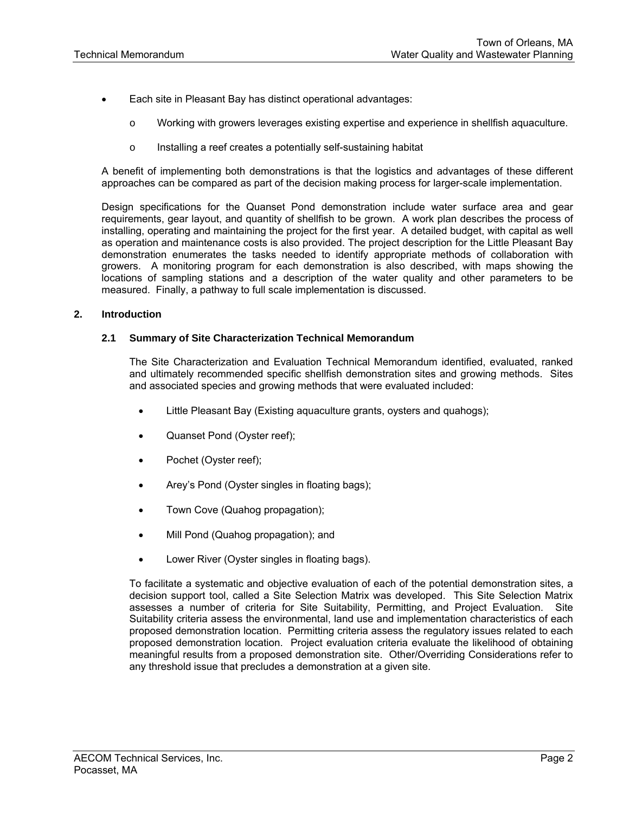- Each site in Pleasant Bay has distinct operational advantages:
	- o Working with growers leverages existing expertise and experience in shellfish aquaculture.
	- o Installing a reef creates a potentially self-sustaining habitat

A benefit of implementing both demonstrations is that the logistics and advantages of these different approaches can be compared as part of the decision making process for larger-scale implementation.

Design specifications for the Quanset Pond demonstration include water surface area and gear requirements, gear layout, and quantity of shellfish to be grown. A work plan describes the process of installing, operating and maintaining the project for the first year. A detailed budget, with capital as well as operation and maintenance costs is also provided. The project description for the Little Pleasant Bay demonstration enumerates the tasks needed to identify appropriate methods of collaboration with growers. A monitoring program for each demonstration is also described, with maps showing the locations of sampling stations and a description of the water quality and other parameters to be measured. Finally, a pathway to full scale implementation is discussed.

# **2. Introduction**

#### **2.1 Summary of Site Characterization Technical Memorandum**

The Site Characterization and Evaluation Technical Memorandum identified, evaluated, ranked and ultimately recommended specific shellfish demonstration sites and growing methods. Sites and associated species and growing methods that were evaluated included:

- Little Pleasant Bay (Existing aquaculture grants, oysters and quahogs);
- Quanset Pond (Oyster reef);
- Pochet (Oyster reef);
- Arey's Pond (Oyster singles in floating bags);
- Town Cove (Quahog propagation);
- Mill Pond (Quahog propagation); and
- Lower River (Oyster singles in floating bags).

To facilitate a systematic and objective evaluation of each of the potential demonstration sites, a decision support tool, called a Site Selection Matrix was developed. This Site Selection Matrix assesses a number of criteria for Site Suitability, Permitting, and Project Evaluation. Site Suitability criteria assess the environmental, land use and implementation characteristics of each proposed demonstration location. Permitting criteria assess the regulatory issues related to each proposed demonstration location. Project evaluation criteria evaluate the likelihood of obtaining meaningful results from a proposed demonstration site. Other/Overriding Considerations refer to any threshold issue that precludes a demonstration at a given site.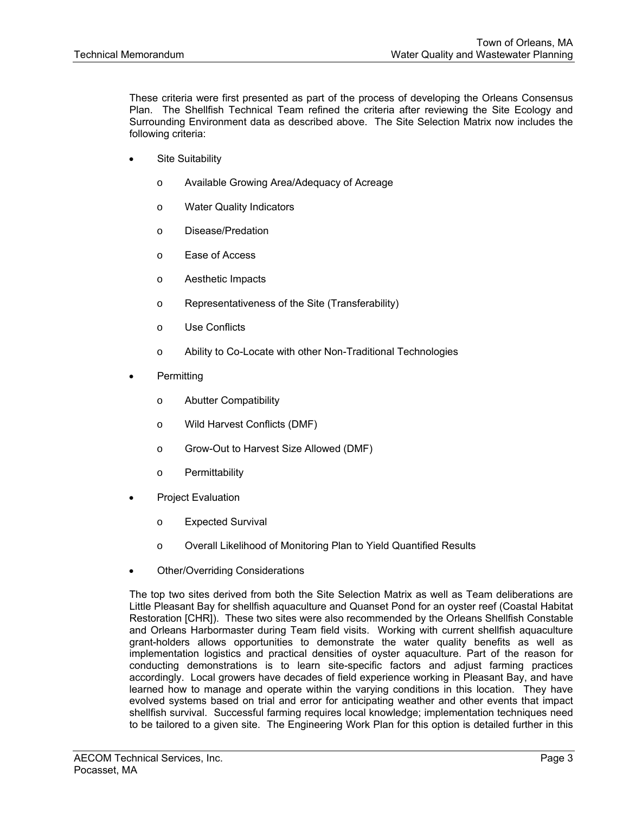These criteria were first presented as part of the process of developing the Orleans Consensus Plan. The Shellfish Technical Team refined the criteria after reviewing the Site Ecology and Surrounding Environment data as described above. The Site Selection Matrix now includes the following criteria:

- Site Suitability
	- o Available Growing Area/Adequacy of Acreage
	- o Water Quality Indicators
	- o Disease/Predation
	- o Ease of Access
	- o Aesthetic Impacts
	- o Representativeness of the Site (Transferability)
	- o Use Conflicts
	- o Ability to Co-Locate with other Non-Traditional Technologies
- **Permitting** 
	- o Abutter Compatibility
	- o Wild Harvest Conflicts (DMF)
	- o Grow-Out to Harvest Size Allowed (DMF)
	- o Permittability
- Project Evaluation
	- o Expected Survival
	- o Overall Likelihood of Monitoring Plan to Yield Quantified Results
- Other/Overriding Considerations

The top two sites derived from both the Site Selection Matrix as well as Team deliberations are Little Pleasant Bay for shellfish aquaculture and Quanset Pond for an oyster reef (Coastal Habitat Restoration [CHR]). These two sites were also recommended by the Orleans Shellfish Constable and Orleans Harbormaster during Team field visits. Working with current shellfish aquaculture grant-holders allows opportunities to demonstrate the water quality benefits as well as implementation logistics and practical densities of oyster aquaculture. Part of the reason for conducting demonstrations is to learn site-specific factors and adjust farming practices accordingly. Local growers have decades of field experience working in Pleasant Bay, and have learned how to manage and operate within the varying conditions in this location. They have evolved systems based on trial and error for anticipating weather and other events that impact shellfish survival. Successful farming requires local knowledge; implementation techniques need to be tailored to a given site. The Engineering Work Plan for this option is detailed further in this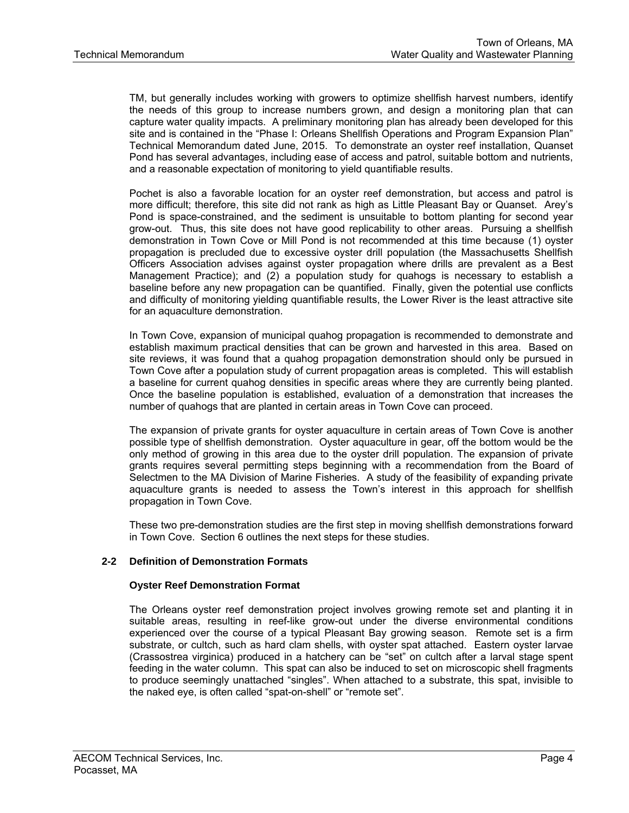TM, but generally includes working with growers to optimize shellfish harvest numbers, identify the needs of this group to increase numbers grown, and design a monitoring plan that can capture water quality impacts. A preliminary monitoring plan has already been developed for this site and is contained in the "Phase I: Orleans Shellfish Operations and Program Expansion Plan" Technical Memorandum dated June, 2015. To demonstrate an oyster reef installation, Quanset Pond has several advantages, including ease of access and patrol, suitable bottom and nutrients, and a reasonable expectation of monitoring to yield quantifiable results.

Pochet is also a favorable location for an oyster reef demonstration, but access and patrol is more difficult; therefore, this site did not rank as high as Little Pleasant Bay or Quanset. Arey's Pond is space-constrained, and the sediment is unsuitable to bottom planting for second year grow-out. Thus, this site does not have good replicability to other areas. Pursuing a shellfish demonstration in Town Cove or Mill Pond is not recommended at this time because (1) oyster propagation is precluded due to excessive oyster drill population (the Massachusetts Shellfish Officers Association advises against oyster propagation where drills are prevalent as a Best Management Practice); and (2) a population study for quahogs is necessary to establish a baseline before any new propagation can be quantified. Finally, given the potential use conflicts and difficulty of monitoring yielding quantifiable results, the Lower River is the least attractive site for an aquaculture demonstration.

In Town Cove, expansion of municipal quahog propagation is recommended to demonstrate and establish maximum practical densities that can be grown and harvested in this area. Based on site reviews, it was found that a quahog propagation demonstration should only be pursued in Town Cove after a population study of current propagation areas is completed. This will establish a baseline for current quahog densities in specific areas where they are currently being planted. Once the baseline population is established, evaluation of a demonstration that increases the number of quahogs that are planted in certain areas in Town Cove can proceed.

The expansion of private grants for oyster aquaculture in certain areas of Town Cove is another possible type of shellfish demonstration. Oyster aquaculture in gear, off the bottom would be the only method of growing in this area due to the oyster drill population. The expansion of private grants requires several permitting steps beginning with a recommendation from the Board of Selectmen to the MA Division of Marine Fisheries. A study of the feasibility of expanding private aquaculture grants is needed to assess the Town's interest in this approach for shellfish propagation in Town Cove.

These two pre-demonstration studies are the first step in moving shellfish demonstrations forward in Town Cove. Section 6 outlines the next steps for these studies.

# **2-2 Definition of Demonstration Formats**

# **Oyster Reef Demonstration Format**

The Orleans oyster reef demonstration project involves growing remote set and planting it in suitable areas, resulting in reef-like grow-out under the diverse environmental conditions experienced over the course of a typical Pleasant Bay growing season. Remote set is a firm substrate, or cultch, such as hard clam shells, with oyster spat attached. Eastern oyster larvae (Crassostrea virginica) produced in a hatchery can be "set" on cultch after a larval stage spent feeding in the water column. This spat can also be induced to set on microscopic shell fragments to produce seemingly unattached "singles". When attached to a substrate, this spat, invisible to the naked eye, is often called "spat-on-shell" or "remote set".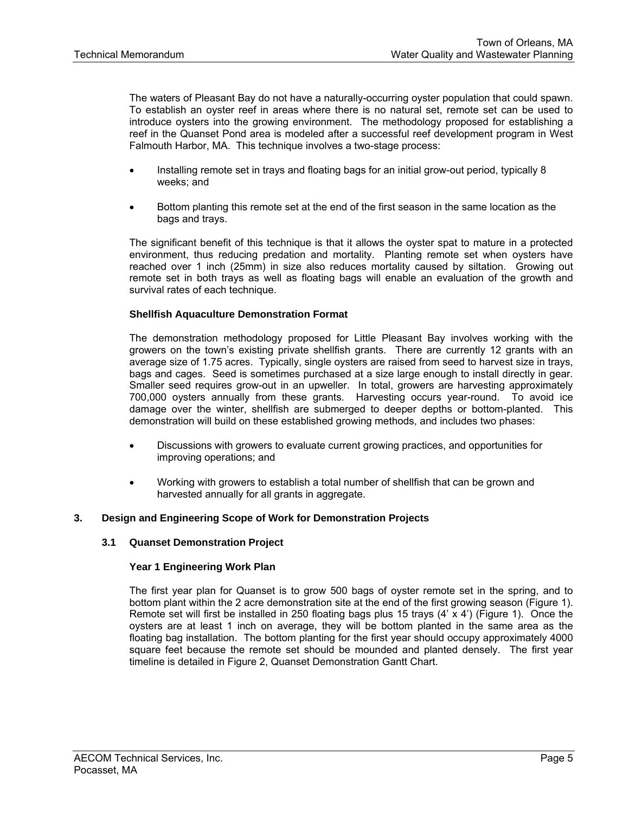The waters of Pleasant Bay do not have a naturally-occurring oyster population that could spawn. To establish an oyster reef in areas where there is no natural set, remote set can be used to introduce oysters into the growing environment. The methodology proposed for establishing a reef in the Quanset Pond area is modeled after a successful reef development program in West Falmouth Harbor, MA. This technique involves a two-stage process:

- Installing remote set in trays and floating bags for an initial grow-out period, typically 8 weeks; and
- Bottom planting this remote set at the end of the first season in the same location as the bags and trays.

The significant benefit of this technique is that it allows the oyster spat to mature in a protected environment, thus reducing predation and mortality. Planting remote set when oysters have reached over 1 inch (25mm) in size also reduces mortality caused by siltation. Growing out remote set in both trays as well as floating bags will enable an evaluation of the growth and survival rates of each technique.

#### **Shellfish Aquaculture Demonstration Format**

The demonstration methodology proposed for Little Pleasant Bay involves working with the growers on the town's existing private shellfish grants. There are currently 12 grants with an average size of 1.75 acres. Typically, single oysters are raised from seed to harvest size in trays, bags and cages. Seed is sometimes purchased at a size large enough to install directly in gear. Smaller seed requires grow-out in an upweller. In total, growers are harvesting approximately 700,000 oysters annually from these grants. Harvesting occurs year-round. To avoid ice damage over the winter, shellfish are submerged to deeper depths or bottom-planted. This demonstration will build on these established growing methods, and includes two phases:

- Discussions with growers to evaluate current growing practices, and opportunities for improving operations; and
- Working with growers to establish a total number of shellfish that can be grown and harvested annually for all grants in aggregate.

# **3. Design and Engineering Scope of Work for Demonstration Projects**

#### **3.1 Quanset Demonstration Project**

#### **Year 1 Engineering Work Plan**

The first year plan for Quanset is to grow 500 bags of oyster remote set in the spring, and to bottom plant within the 2 acre demonstration site at the end of the first growing season (Figure 1). Remote set will first be installed in 250 floating bags plus 15 trays (4' x 4') (Figure 1). Once the oysters are at least 1 inch on average, they will be bottom planted in the same area as the floating bag installation. The bottom planting for the first year should occupy approximately 4000 square feet because the remote set should be mounded and planted densely. The first year timeline is detailed in Figure 2, Quanset Demonstration Gantt Chart.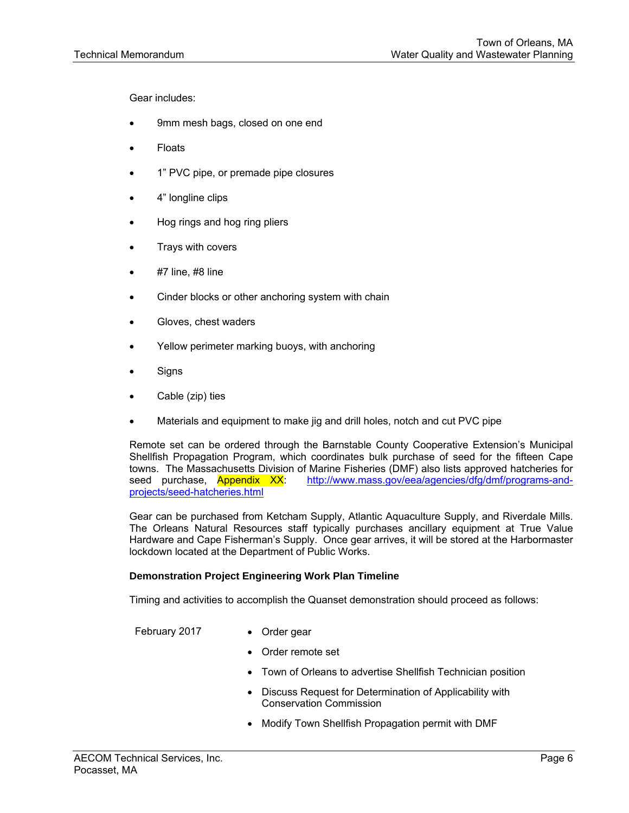Gear includes:

- 9mm mesh bags, closed on one end
- Floats
- 1" PVC pipe, or premade pipe closures
- 4" longline clips
- Hog rings and hog ring pliers
- Trays with covers
- #7 line, #8 line
- Cinder blocks or other anchoring system with chain
- Gloves, chest waders
- Yellow perimeter marking buoys, with anchoring
- **Signs**
- Cable (zip) ties
- Materials and equipment to make jig and drill holes, notch and cut PVC pipe

Remote set can be ordered through the Barnstable County Cooperative Extension's Municipal Shellfish Propagation Program, which coordinates bulk purchase of seed for the fifteen Cape towns. The Massachusetts Division of Marine Fisheries (DMF) also lists approved hatcheries for seed purchase, Appendix XX: http://www.mass.gov/eea/agencies/dfg/dmf/programs-andprojects/seed-hatcheries.html

Gear can be purchased from Ketcham Supply, Atlantic Aquaculture Supply, and Riverdale Mills. The Orleans Natural Resources staff typically purchases ancillary equipment at True Value Hardware and Cape Fisherman's Supply. Once gear arrives, it will be stored at the Harbormaster lockdown located at the Department of Public Works.

#### **Demonstration Project Engineering Work Plan Timeline**

Timing and activities to accomplish the Quanset demonstration should proceed as follows:

February 2017 • Order gear

- 
- Order remote set
- Town of Orleans to advertise Shellfish Technician position
- Discuss Request for Determination of Applicability with Conservation Commission
- Modify Town Shellfish Propagation permit with DMF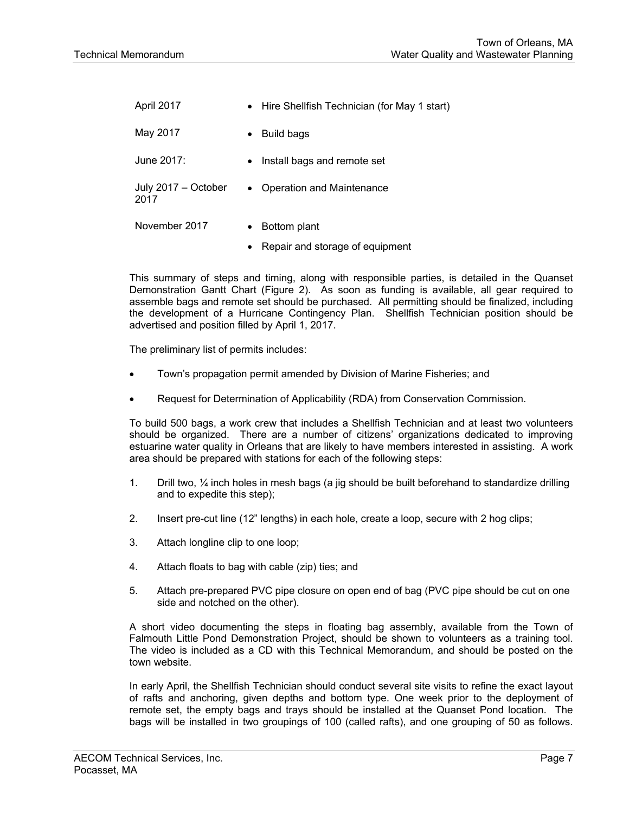| April 2017                  | • Hire Shellfish Technician (for May 1 start) |
|-----------------------------|-----------------------------------------------|
| May 2017                    | <b>Build bags</b><br>$\bullet$                |
| June 2017:                  | Install bags and remote set<br>$\bullet$      |
| July 2017 - October<br>2017 | Operation and Maintenance<br>$\bullet$        |
| November 2017               | Bottom plant<br>$\bullet$                     |
|                             | Repair and storage of equipment<br>$\bullet$  |

This summary of steps and timing, along with responsible parties, is detailed in the Quanset Demonstration Gantt Chart (Figure 2). As soon as funding is available, all gear required to assemble bags and remote set should be purchased. All permitting should be finalized, including the development of a Hurricane Contingency Plan. Shellfish Technician position should be advertised and position filled by April 1, 2017.

The preliminary list of permits includes:

- Town's propagation permit amended by Division of Marine Fisheries; and
- Request for Determination of Applicability (RDA) from Conservation Commission.

To build 500 bags, a work crew that includes a Shellfish Technician and at least two volunteers should be organized. There are a number of citizens' organizations dedicated to improving estuarine water quality in Orleans that are likely to have members interested in assisting. A work area should be prepared with stations for each of the following steps:

- 1. Drill two, ¼ inch holes in mesh bags (a jig should be built beforehand to standardize drilling and to expedite this step);
- 2. Insert pre-cut line (12" lengths) in each hole, create a loop, secure with 2 hog clips;
- 3. Attach longline clip to one loop;
- 4. Attach floats to bag with cable (zip) ties; and
- 5. Attach pre-prepared PVC pipe closure on open end of bag (PVC pipe should be cut on one side and notched on the other).

A short video documenting the steps in floating bag assembly, available from the Town of Falmouth Little Pond Demonstration Project, should be shown to volunteers as a training tool. The video is included as a CD with this Technical Memorandum, and should be posted on the town website.

In early April, the Shellfish Technician should conduct several site visits to refine the exact layout of rafts and anchoring, given depths and bottom type. One week prior to the deployment of remote set, the empty bags and trays should be installed at the Quanset Pond location. The bags will be installed in two groupings of 100 (called rafts), and one grouping of 50 as follows.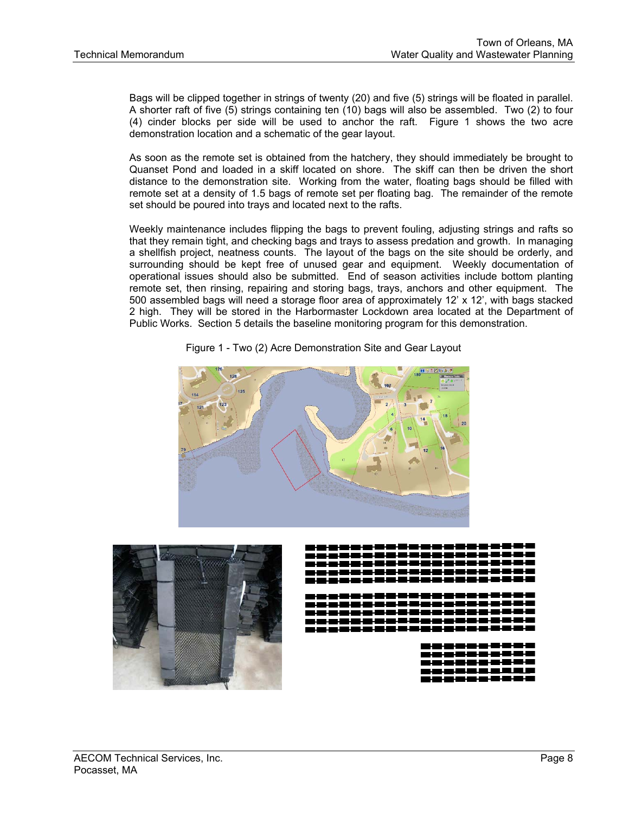Bags will be clipped together in strings of twenty (20) and five (5) strings will be floated in parallel. A shorter raft of five (5) strings containing ten (10) bags will also be assembled. Two (2) to four (4) cinder blocks per side will be used to anchor the raft. Figure 1 shows the two acre demonstration location and a schematic of the gear layout.

As soon as the remote set is obtained from the hatchery, they should immediately be brought to Quanset Pond and loaded in a skiff located on shore. The skiff can then be driven the short distance to the demonstration site. Working from the water, floating bags should be filled with remote set at a density of 1.5 bags of remote set per floating bag. The remainder of the remote set should be poured into trays and located next to the rafts.

Weekly maintenance includes flipping the bags to prevent fouling, adjusting strings and rafts so that they remain tight, and checking bags and trays to assess predation and growth. In managing a shellfish project, neatness counts. The layout of the bags on the site should be orderly, and surrounding should be kept free of unused gear and equipment. Weekly documentation of operational issues should also be submitted. End of season activities include bottom planting remote set, then rinsing, repairing and storing bags, trays, anchors and other equipment. The 500 assembled bags will need a storage floor area of approximately 12' x 12', with bags stacked 2 high. They will be stored in the Harbormaster Lockdown area located at the Department of Public Works. Section 5 details the baseline monitoring program for this demonstration.



Figure 1 - Two (2) Acre Demonstration Site and Gear Layout

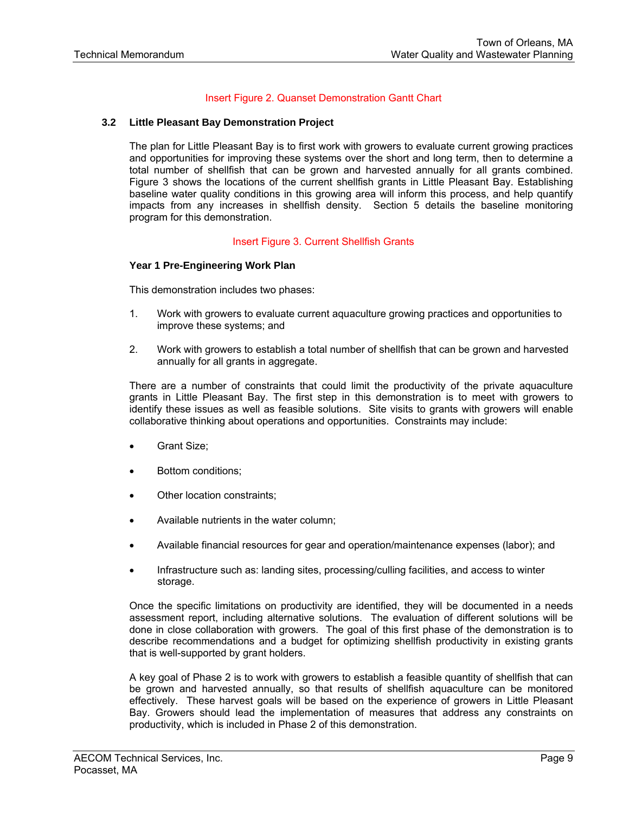# Insert Figure 2. Quanset Demonstration Gantt Chart

#### **3.2 Little Pleasant Bay Demonstration Project**

The plan for Little Pleasant Bay is to first work with growers to evaluate current growing practices and opportunities for improving these systems over the short and long term, then to determine a total number of shellfish that can be grown and harvested annually for all grants combined. Figure 3 shows the locations of the current shellfish grants in Little Pleasant Bay. Establishing baseline water quality conditions in this growing area will inform this process, and help quantify impacts from any increases in shellfish density. Section 5 details the baseline monitoring program for this demonstration.

#### Insert Figure 3. Current Shellfish Grants

#### **Year 1 Pre-Engineering Work Plan**

This demonstration includes two phases:

- 1. Work with growers to evaluate current aquaculture growing practices and opportunities to improve these systems; and
- 2. Work with growers to establish a total number of shellfish that can be grown and harvested annually for all grants in aggregate.

There are a number of constraints that could limit the productivity of the private aquaculture grants in Little Pleasant Bay. The first step in this demonstration is to meet with growers to identify these issues as well as feasible solutions. Site visits to grants with growers will enable collaborative thinking about operations and opportunities. Constraints may include:

- Grant Size;
- Bottom conditions;
- Other location constraints;
- Available nutrients in the water column;
- Available financial resources for gear and operation/maintenance expenses (labor); and
- Infrastructure such as: landing sites, processing/culling facilities, and access to winter storage.

Once the specific limitations on productivity are identified, they will be documented in a needs assessment report, including alternative solutions. The evaluation of different solutions will be done in close collaboration with growers. The goal of this first phase of the demonstration is to describe recommendations and a budget for optimizing shellfish productivity in existing grants that is well-supported by grant holders.

A key goal of Phase 2 is to work with growers to establish a feasible quantity of shellfish that can be grown and harvested annually, so that results of shellfish aquaculture can be monitored effectively. These harvest goals will be based on the experience of growers in Little Pleasant Bay. Growers should lead the implementation of measures that address any constraints on productivity, which is included in Phase 2 of this demonstration.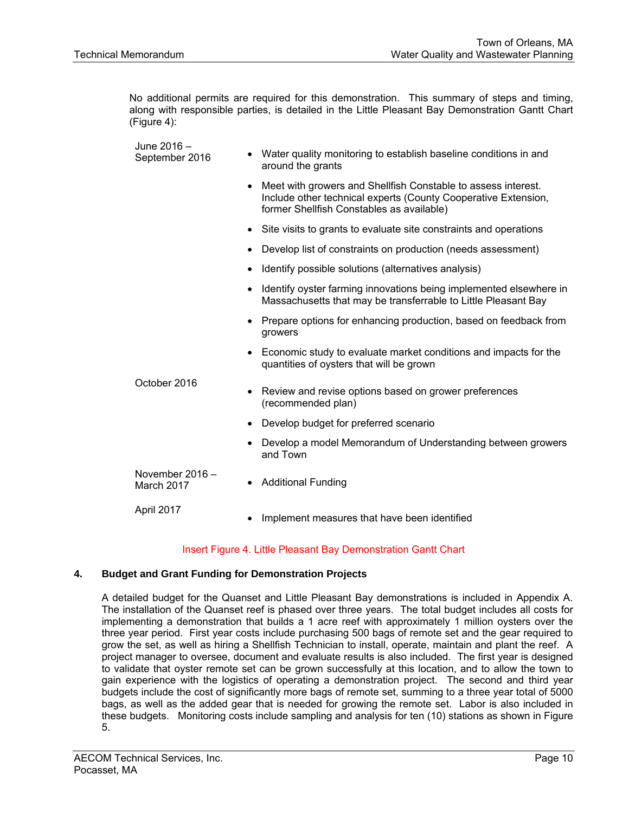No additional permits are required for this demonstration. This summary of steps and timing, along with responsible parties, is detailed in the Little Pleasant Bay Demonstration Gantt Chart (Figure 4):

| June 2016 -<br>September 2016   | Water quality monitoring to establish baseline conditions in and<br>around the grants                                                                                        |  |  |  |  |
|---------------------------------|------------------------------------------------------------------------------------------------------------------------------------------------------------------------------|--|--|--|--|
|                                 | Meet with growers and Shellfish Constable to assess interest.<br>Include other technical experts (County Cooperative Extension,<br>former Shellfish Constables as available) |  |  |  |  |
|                                 | Site visits to grants to evaluate site constraints and operations<br>$\bullet$                                                                                               |  |  |  |  |
|                                 | Develop list of constraints on production (needs assessment)<br>$\bullet$                                                                                                    |  |  |  |  |
|                                 | Identify possible solutions (alternatives analysis)<br>$\bullet$                                                                                                             |  |  |  |  |
|                                 | Identify oyster farming innovations being implemented elsewhere in<br>Massachusetts that may be transferrable to Little Pleasant Bay                                         |  |  |  |  |
|                                 | Prepare options for enhancing production, based on feedback from<br>growers                                                                                                  |  |  |  |  |
|                                 | Economic study to evaluate market conditions and impacts for the<br>quantities of oysters that will be grown                                                                 |  |  |  |  |
| October 2016                    | Review and revise options based on grower preferences<br>(recommended plan)                                                                                                  |  |  |  |  |
|                                 | Develop budget for preferred scenario                                                                                                                                        |  |  |  |  |
|                                 | Develop a model Memorandum of Understanding between growers<br>and Town                                                                                                      |  |  |  |  |
| November $2016 -$<br>March 2017 | <b>Additional Funding</b>                                                                                                                                                    |  |  |  |  |
| April 2017                      | Implement measures that have been identified                                                                                                                                 |  |  |  |  |

# Insert Figure 4. Little Pleasant Bay Demonstration Gantt Chart

# **4. Budget and Grant Funding for Demonstration Projects**

A detailed budget for the Quanset and Little Pleasant Bay demonstrations is included in Appendix A. The installation of the Quanset reef is phased over three years. The total budget includes all costs for implementing a demonstration that builds a 1 acre reef with approximately 1 million oysters over the three year period. First year costs include purchasing 500 bags of remote set and the gear required to grow the set, as well as hiring a Shellfish Technician to install, operate, maintain and plant the reef. A project manager to oversee, document and evaluate results is also included. The first year is designed to validate that oyster remote set can be grown successfully at this location, and to allow the town to gain experience with the logistics of operating a demonstration project. The second and third year budgets include the cost of significantly more bags of remote set, summing to a three year total of 5000 bags, as well as the added gear that is needed for growing the remote set. Labor is also included in these budgets. Monitoring costs include sampling and analysis for ten (10) stations as shown in Figure 5.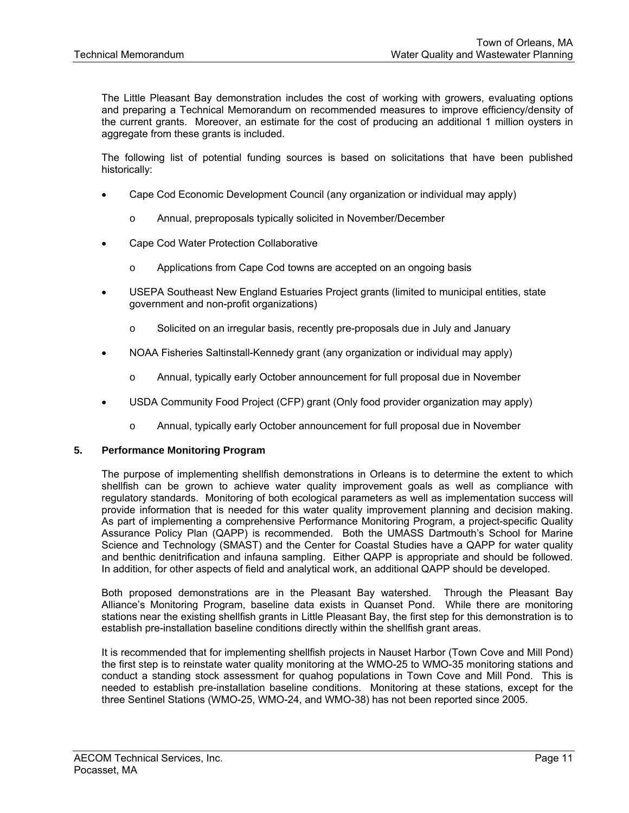The Little Pleasant Bay demonstration includes the cost of working with growers, evaluating options and preparing a Technical Memorandum on recommended measures to improve efficiency/density of the current grants. Moreover, an estimate for the cost of producing an additional 1 million oysters in aggregate from these grants is included.

The following list of potential funding sources is based on solicitations that have been published historically:

- Cape Cod Economic Development Council (any organization or individual may apply)
	- o Annual, preproposals typically solicited in November/December
- Cape Cod Water Protection Collaborative
	- o Applications from Cape Cod towns are accepted on an ongoing basis
- USEPA Southeast New England Estuaries Project grants (limited to municipal entities, state government and non-profit organizations)
	- o Solicited on an irregular basis, recently pre-proposals due in July and January
- NOAA Fisheries Saltinstall-Kennedy grant (any organization or individual may apply)
	- o Annual, typically early October announcement for full proposal due in November
- USDA Community Food Project (CFP) grant (Only food provider organization may apply)
	- o Annual, typically early October announcement for full proposal due in November

# **5. Performance Monitoring Program**

The purpose of implementing shellfish demonstrations in Orleans is to determine the extent to which shellfish can be grown to achieve water quality improvement goals as well as compliance with regulatory standards. Monitoring of both ecological parameters as well as implementation success will provide information that is needed for this water quality improvement planning and decision making. As part of implementing a comprehensive Performance Monitoring Program, a project-specific Quality Assurance Policy Plan (QAPP) is recommended. Both the UMASS Dartmouth's School for Marine Science and Technology (SMAST) and the Center for Coastal Studies have a QAPP for water quality and benthic denitrification and infauna sampling. Either QAPP is appropriate and should be followed. In addition, for other aspects of field and analytical work, an additional QAPP should be developed.

Both proposed demonstrations are in the Pleasant Bay watershed. Through the Pleasant Bay Alliance's Monitoring Program, baseline data exists in Quanset Pond. While there are monitoring stations near the existing shellfish grants in Little Pleasant Bay, the first step for this demonstration is to establish pre-installation baseline conditions directly within the shellfish grant areas.

It is recommended that for implementing shellfish projects in Nauset Harbor (Town Cove and Mill Pond) the first step is to reinstate water quality monitoring at the WMO-25 to WMO-35 monitoring stations and conduct a standing stock assessment for quahog populations in Town Cove and Mill Pond. This is needed to establish pre-installation baseline conditions. Monitoring at these stations, except for the three Sentinel Stations (WMO-25, WMO-24, and WMO-38) has not been reported since 2005.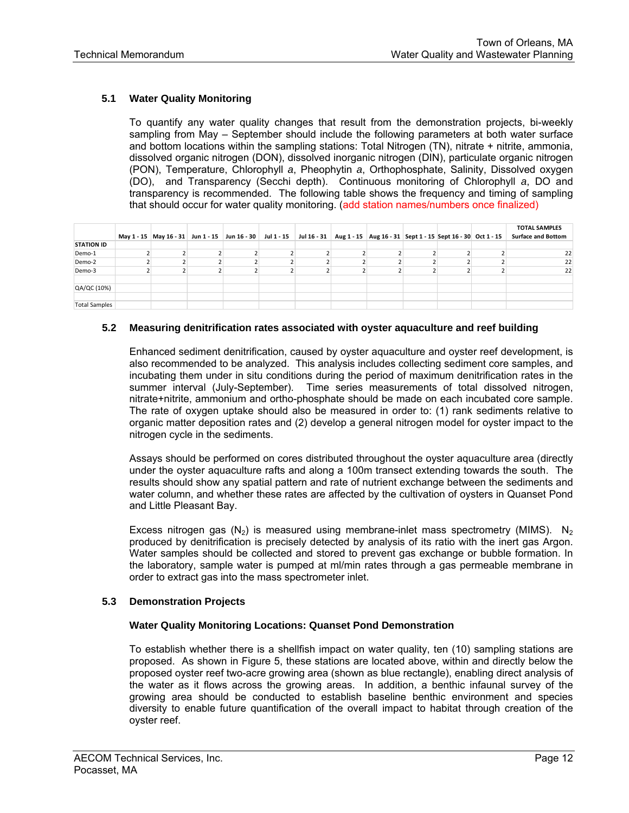# **5.1 Water Quality Monitoring**

To quantify any water quality changes that result from the demonstration projects, bi-weekly sampling from May – September should include the following parameters at both water surface and bottom locations within the sampling stations: Total Nitrogen (TN), nitrate + nitrite, ammonia, dissolved organic nitrogen (DON), dissolved inorganic nitrogen (DIN), particulate organic nitrogen (PON), Temperature, Chlorophyll *a*, Pheophytin *a*, Orthophosphate, Salinity, Dissolved oxygen (DO), and Transparency (Secchi depth). Continuous monitoring of Chlorophyll *a*, DO and transparency is recommended. The following table shows the frequency and timing of sampling that should occur for water quality monitoring. (add station names/numbers once finalized)

| <b>STATION ID</b>    |  | May 1 - 15 May 16 - 31 Jun 1 - 15 Jun 16 - 30 Jul 1 - 15 |  | Jul 16 - 31   Aug 1 - 15   Aug 16 - 31   Sept 1 - 15   Sept 16 - 30   Oct 1 - 15 |  | <b>TOTAL SAMPLES</b><br><b>Surface and Bottom</b> |
|----------------------|--|----------------------------------------------------------|--|----------------------------------------------------------------------------------|--|---------------------------------------------------|
| Demo-1               |  |                                                          |  |                                                                                  |  | 22                                                |
| Demo-2               |  |                                                          |  |                                                                                  |  | 22                                                |
| Demo-3               |  |                                                          |  |                                                                                  |  | 22                                                |
| QA/QC (10%)          |  |                                                          |  |                                                                                  |  |                                                   |
| <b>Total Samples</b> |  |                                                          |  |                                                                                  |  |                                                   |

#### **5.2 Measuring denitrification rates associated with oyster aquaculture and reef building**

Enhanced sediment denitrification, caused by oyster aquaculture and oyster reef development, is also recommended to be analyzed. This analysis includes collecting sediment core samples, and incubating them under in situ conditions during the period of maximum denitrification rates in the summer interval (July-September). Time series measurements of total dissolved nitrogen, nitrate+nitrite, ammonium and ortho-phosphate should be made on each incubated core sample. The rate of oxygen uptake should also be measured in order to: (1) rank sediments relative to organic matter deposition rates and (2) develop a general nitrogen model for oyster impact to the nitrogen cycle in the sediments.

Assays should be performed on cores distributed throughout the oyster aquaculture area (directly under the oyster aquaculture rafts and along a 100m transect extending towards the south. The results should show any spatial pattern and rate of nutrient exchange between the sediments and water column, and whether these rates are affected by the cultivation of oysters in Quanset Pond and Little Pleasant Bay.

Excess nitrogen gas ( $N_2$ ) is measured using membrane-inlet mass spectrometry (MIMS).  $N_2$ produced by denitrification is precisely detected by analysis of its ratio with the inert gas Argon. Water samples should be collected and stored to prevent gas exchange or bubble formation. In the laboratory, sample water is pumped at ml/min rates through a gas permeable membrane in order to extract gas into the mass spectrometer inlet.

# **5.3 Demonstration Projects**

#### **Water Quality Monitoring Locations: Quanset Pond Demonstration**

To establish whether there is a shellfish impact on water quality, ten (10) sampling stations are proposed. As shown in Figure 5, these stations are located above, within and directly below the proposed oyster reef two-acre growing area (shown as blue rectangle), enabling direct analysis of the water as it flows across the growing areas. In addition, a benthic infaunal survey of the growing area should be conducted to establish baseline benthic environment and species diversity to enable future quantification of the overall impact to habitat through creation of the oyster reef.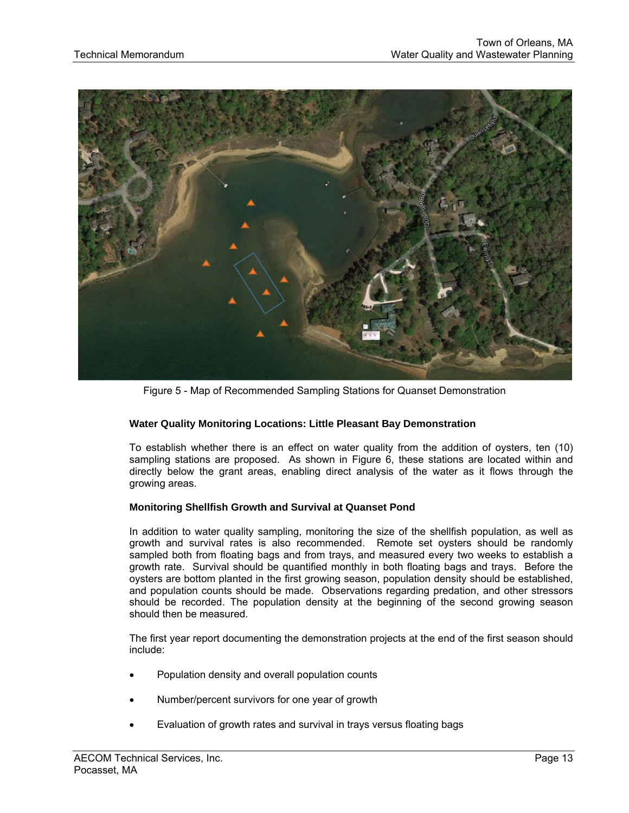

Figure 5 - Map of Recommended Sampling Stations for Quanset Demonstration

# **Water Quality Monitoring Locations: Little Pleasant Bay Demonstration**

To establish whether there is an effect on water quality from the addition of oysters, ten (10) sampling stations are proposed. As shown in Figure 6, these stations are located within and directly below the grant areas, enabling direct analysis of the water as it flows through the growing areas.

### **Monitoring Shellfish Growth and Survival at Quanset Pond**

In addition to water quality sampling, monitoring the size of the shellfish population, as well as growth and survival rates is also recommended. Remote set oysters should be randomly sampled both from floating bags and from trays, and measured every two weeks to establish a growth rate. Survival should be quantified monthly in both floating bags and trays. Before the oysters are bottom planted in the first growing season, population density should be established, and population counts should be made. Observations regarding predation, and other stressors should be recorded. The population density at the beginning of the second growing season should then be measured.

The first year report documenting the demonstration projects at the end of the first season should include:

- Population density and overall population counts
- Number/percent survivors for one year of growth
- Evaluation of growth rates and survival in trays versus floating bags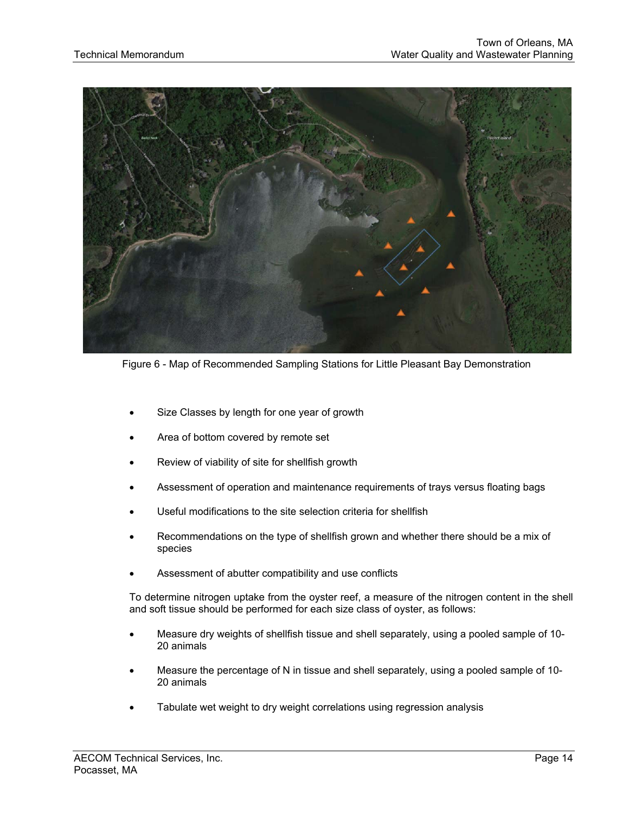

Figure 6 - Map of Recommended Sampling Stations for Little Pleasant Bay Demonstration

- Size Classes by length for one year of growth
- Area of bottom covered by remote set
- Review of viability of site for shellfish growth
- Assessment of operation and maintenance requirements of trays versus floating bags
- Useful modifications to the site selection criteria for shellfish
- Recommendations on the type of shellfish grown and whether there should be a mix of species
- Assessment of abutter compatibility and use conflicts

To determine nitrogen uptake from the oyster reef, a measure of the nitrogen content in the shell and soft tissue should be performed for each size class of oyster, as follows:

- Measure dry weights of shellfish tissue and shell separately, using a pooled sample of 10- 20 animals
- Measure the percentage of N in tissue and shell separately, using a pooled sample of 10- 20 animals
- Tabulate wet weight to dry weight correlations using regression analysis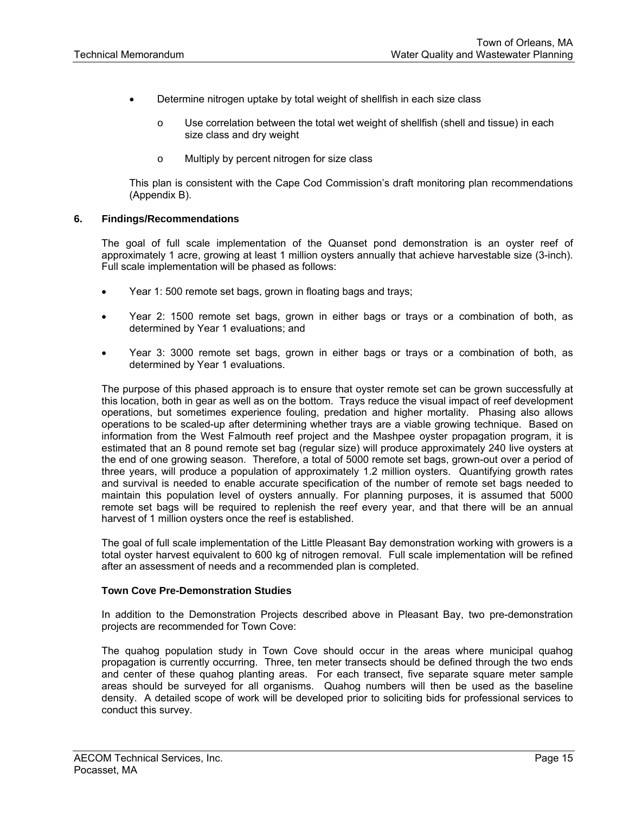- Determine nitrogen uptake by total weight of shellfish in each size class
	- o Use correlation between the total wet weight of shellfish (shell and tissue) in each size class and dry weight
	- o Multiply by percent nitrogen for size class

This plan is consistent with the Cape Cod Commission's draft monitoring plan recommendations (Appendix B).

#### **6. Findings/Recommendations**

The goal of full scale implementation of the Quanset pond demonstration is an oyster reef of approximately 1 acre, growing at least 1 million oysters annually that achieve harvestable size (3-inch). Full scale implementation will be phased as follows:

- Year 1: 500 remote set bags, grown in floating bags and trays;
- Year 2: 1500 remote set bags, grown in either bags or trays or a combination of both, as determined by Year 1 evaluations; and
- Year 3: 3000 remote set bags, grown in either bags or trays or a combination of both, as determined by Year 1 evaluations.

The purpose of this phased approach is to ensure that oyster remote set can be grown successfully at this location, both in gear as well as on the bottom. Trays reduce the visual impact of reef development operations, but sometimes experience fouling, predation and higher mortality. Phasing also allows operations to be scaled-up after determining whether trays are a viable growing technique. Based on information from the West Falmouth reef project and the Mashpee oyster propagation program, it is estimated that an 8 pound remote set bag (regular size) will produce approximately 240 live oysters at the end of one growing season. Therefore, a total of 5000 remote set bags, grown-out over a period of three years, will produce a population of approximately 1.2 million oysters. Quantifying growth rates and survival is needed to enable accurate specification of the number of remote set bags needed to maintain this population level of oysters annually. For planning purposes, it is assumed that 5000 remote set bags will be required to replenish the reef every year, and that there will be an annual harvest of 1 million oysters once the reef is established.

The goal of full scale implementation of the Little Pleasant Bay demonstration working with growers is a total oyster harvest equivalent to 600 kg of nitrogen removal. Full scale implementation will be refined after an assessment of needs and a recommended plan is completed.

#### **Town Cove Pre-Demonstration Studies**

In addition to the Demonstration Projects described above in Pleasant Bay, two pre-demonstration projects are recommended for Town Cove:

The quahog population study in Town Cove should occur in the areas where municipal quahog propagation is currently occurring. Three, ten meter transects should be defined through the two ends and center of these quahog planting areas. For each transect, five separate square meter sample areas should be surveyed for all organisms. Quahog numbers will then be used as the baseline density. A detailed scope of work will be developed prior to soliciting bids for professional services to conduct this survey.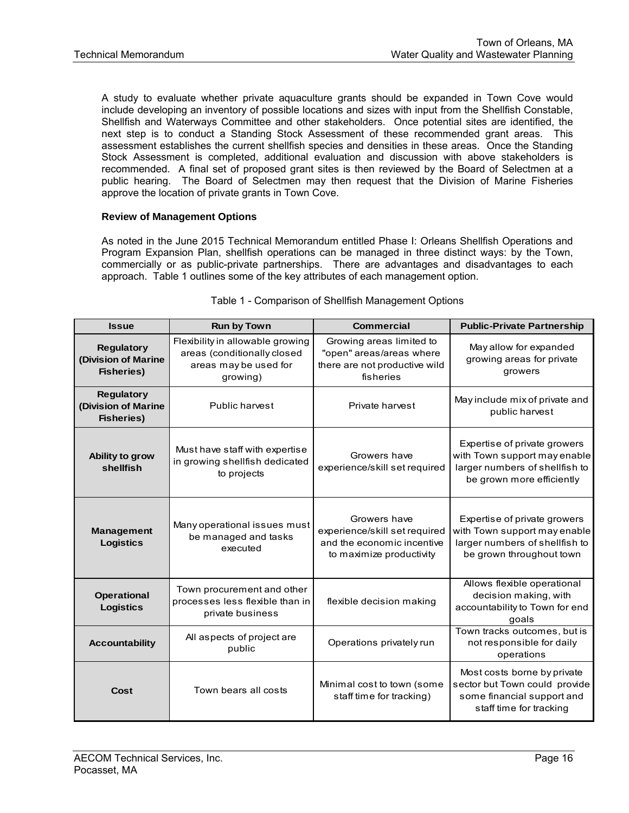A study to evaluate whether private aquaculture grants should be expanded in Town Cove would include developing an inventory of possible locations and sizes with input from the Shellfish Constable, Shellfish and Waterways Committee and other stakeholders. Once potential sites are identified, the next step is to conduct a Standing Stock Assessment of these recommended grant areas. This assessment establishes the current shellfish species and densities in these areas. Once the Standing Stock Assessment is completed, additional evaluation and discussion with above stakeholders is recommended. A final set of proposed grant sites is then reviewed by the Board of Selectmen at a public hearing. The Board of Selectmen may then request that the Division of Marine Fisheries approve the location of private grants in Town Cove.

# **Review of Management Options**

As noted in the June 2015 Technical Memorandum entitled Phase I: Orleans Shellfish Operations and Program Expansion Plan, shellfish operations can be managed in three distinct ways: by the Town, commercially or as public-private partnerships. There are advantages and disadvantages to each approach. Table 1 outlines some of the key attributes of each management option.

| <b>Issue</b>                                                                                                                                                          | <b>Run by Town</b>                                                                | <b>Commercial</b>                                                                                       | <b>Public-Private Partnership</b>                                                                                           |  |  |
|-----------------------------------------------------------------------------------------------------------------------------------------------------------------------|-----------------------------------------------------------------------------------|---------------------------------------------------------------------------------------------------------|-----------------------------------------------------------------------------------------------------------------------------|--|--|
| Flexibility in allowable growing<br><b>Regulatory</b><br>areas (conditionally closed<br>(Division of Marine<br>areas may be used for<br><b>Fisheries)</b><br>growing) |                                                                                   | Growing areas limited to<br>"open" areas/areas where<br>there are not productive wild<br>fisheries      | May allow for expanded<br>growing areas for private<br>growers                                                              |  |  |
| <b>Regulatory</b><br>(Division of Marine<br>Public harvest<br><b>Fisheries)</b>                                                                                       |                                                                                   | Private harvest                                                                                         | May include mix of private and<br>public harvest                                                                            |  |  |
| Ability to grow<br>shellfish                                                                                                                                          | Must have staff with expertise<br>in growing shellfish dedicated<br>to projects   | Growers have<br>experience/skill set required                                                           | Expertise of private growers<br>with Town support may enable<br>larger numbers of shellfish to<br>be grown more efficiently |  |  |
| Many operational issues must<br><b>Management</b><br>be managed and tasks<br><b>Logistics</b><br>executed                                                             |                                                                                   | Growers have<br>experience/skill set required<br>and the economic incentive<br>to maximize productivity | Expertise of private growers<br>with Town support may enable<br>larger numbers of shellfish to<br>be grown throughout town  |  |  |
| <b>Operational</b><br><b>Logistics</b>                                                                                                                                | Town procurement and other<br>processes less flexible than in<br>private business | flexible decision making                                                                                | Allows flexible operational<br>decision making, with<br>accountability to Town for end<br>qoals                             |  |  |
| <b>Accountability</b>                                                                                                                                                 | All aspects of project are<br>public                                              | Operations privately run                                                                                | Town tracks outcomes, but is<br>not responsible for daily<br>operations                                                     |  |  |
| Town bears all costs<br>Cost                                                                                                                                          |                                                                                   | Minimal cost to town (some<br>staff time for tracking)                                                  | Most costs borne by private<br>sector but Town could provide<br>some financial support and<br>staff time for tracking       |  |  |

#### Table 1 - Comparison of Shellfish Management Options